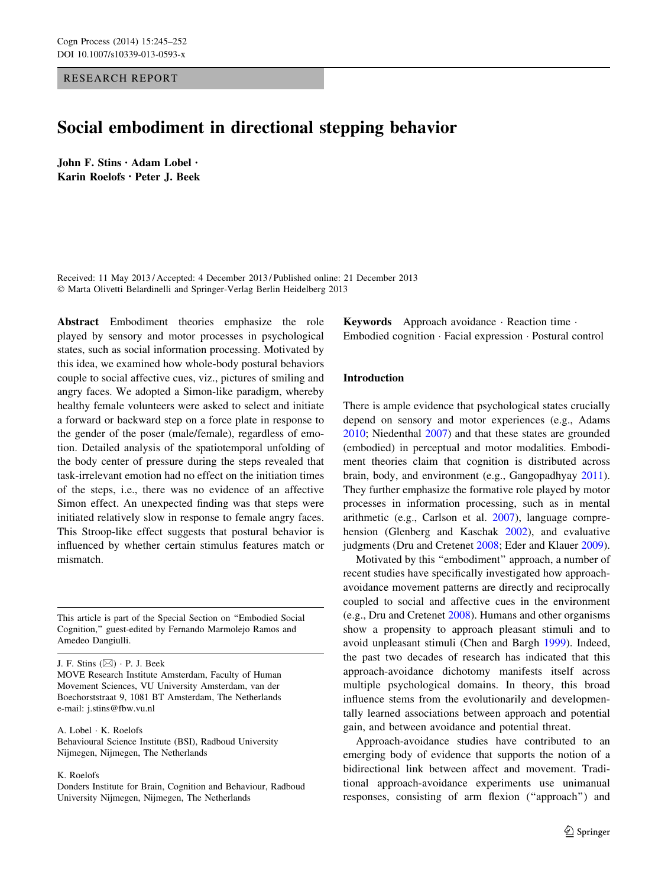# RESEARCH REPORT

# Social embodiment in directional stepping behavior

John F. Stins • Adam Lobel • Karin Roelofs • Peter J. Beek

Received: 11 May 2013 / Accepted: 4 December 2013 / Published online: 21 December 2013 - Marta Olivetti Belardinelli and Springer-Verlag Berlin Heidelberg 2013

Abstract Embodiment theories emphasize the role played by sensory and motor processes in psychological states, such as social information processing. Motivated by this idea, we examined how whole-body postural behaviors couple to social affective cues, viz., pictures of smiling and angry faces. We adopted a Simon-like paradigm, whereby healthy female volunteers were asked to select and initiate a forward or backward step on a force plate in response to the gender of the poser (male/female), regardless of emotion. Detailed analysis of the spatiotemporal unfolding of the body center of pressure during the steps revealed that task-irrelevant emotion had no effect on the initiation times of the steps, i.e., there was no evidence of an affective Simon effect. An unexpected finding was that steps were initiated relatively slow in response to female angry faces. This Stroop-like effect suggests that postural behavior is influenced by whether certain stimulus features match or mismatch.

This article is part of the Special Section on ''Embodied Social Cognition,'' guest-edited by Fernando Marmolejo Ramos and Amedeo Dangiulli.

J. F. Stins  $(\boxtimes) \cdot P$ . J. Beek

MOVE Research Institute Amsterdam, Faculty of Human Movement Sciences, VU University Amsterdam, van der Boechorststraat 9, 1081 BT Amsterdam, The Netherlands e-mail: j.stins@fbw.vu.nl

A. Lobel - K. Roelofs

Behavioural Science Institute (BSI), Radboud University Nijmegen, Nijmegen, The Netherlands

K. Roelofs

Donders Institute for Brain, Cognition and Behaviour, Radboud University Nijmegen, Nijmegen, The Netherlands

Keywords Approach avoidance - Reaction time - Embodied cognition - Facial expression - Postural control

#### Introduction

There is ample evidence that psychological states crucially depend on sensory and motor experiences (e.g., Adams [2010](#page-6-0); Niedenthal [2007](#page-7-0)) and that these states are grounded (embodied) in perceptual and motor modalities. Embodiment theories claim that cognition is distributed across brain, body, and environment (e.g., Gangopadhyay [2011](#page-6-0)). They further emphasize the formative role played by motor processes in information processing, such as in mental arithmetic (e.g., Carlson et al. [2007](#page-6-0)), language comprehension (Glenberg and Kaschak [2002\)](#page-6-0), and evaluative judgments (Dru and Cretenet [2008](#page-6-0); Eder and Klauer [2009](#page-6-0)).

Motivated by this ''embodiment'' approach, a number of recent studies have specifically investigated how approachavoidance movement patterns are directly and reciprocally coupled to social and affective cues in the environment (e.g., Dru and Cretenet [2008\)](#page-6-0). Humans and other organisms show a propensity to approach pleasant stimuli and to avoid unpleasant stimuli (Chen and Bargh [1999\)](#page-6-0). Indeed, the past two decades of research has indicated that this approach-avoidance dichotomy manifests itself across multiple psychological domains. In theory, this broad influence stems from the evolutionarily and developmentally learned associations between approach and potential gain, and between avoidance and potential threat.

Approach-avoidance studies have contributed to an emerging body of evidence that supports the notion of a bidirectional link between affect and movement. Traditional approach-avoidance experiments use unimanual responses, consisting of arm flexion (''approach'') and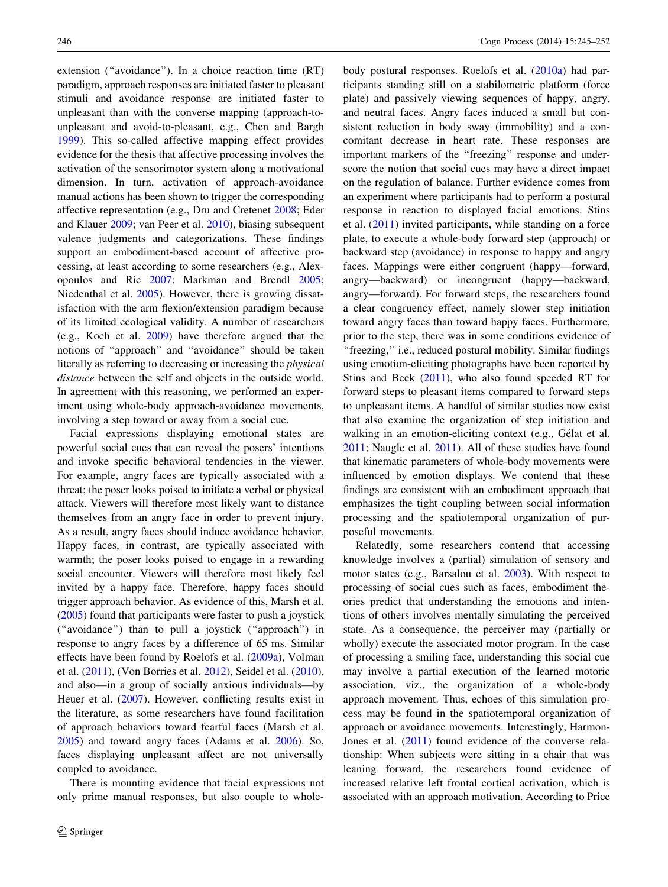extension (''avoidance''). In a choice reaction time (RT) paradigm, approach responses are initiated faster to pleasant stimuli and avoidance response are initiated faster to unpleasant than with the converse mapping (approach-tounpleasant and avoid-to-pleasant, e.g., Chen and Bargh [1999\)](#page-6-0). This so-called affective mapping effect provides evidence for the thesis that affective processing involves the activation of the sensorimotor system along a motivational dimension. In turn, activation of approach-avoidance manual actions has been shown to trigger the corresponding affective representation (e.g., Dru and Cretenet [2008;](#page-6-0) Eder and Klauer [2009](#page-6-0); van Peer et al. [2010](#page-7-0)), biasing subsequent valence judgments and categorizations. These findings support an embodiment-based account of affective processing, at least according to some researchers (e.g., Alexopoulos and Ric [2007](#page-6-0); Markman and Brendl [2005](#page-6-0); Niedenthal et al. [2005\)](#page-7-0). However, there is growing dissatisfaction with the arm flexion/extension paradigm because of its limited ecological validity. A number of researchers (e.g., Koch et al. [2009](#page-6-0)) have therefore argued that the notions of ''approach'' and ''avoidance'' should be taken literally as referring to decreasing or increasing the physical distance between the self and objects in the outside world. In agreement with this reasoning, we performed an experiment using whole-body approach-avoidance movements, involving a step toward or away from a social cue.

Facial expressions displaying emotional states are powerful social cues that can reveal the posers' intentions and invoke specific behavioral tendencies in the viewer. For example, angry faces are typically associated with a threat; the poser looks poised to initiate a verbal or physical attack. Viewers will therefore most likely want to distance themselves from an angry face in order to prevent injury. As a result, angry faces should induce avoidance behavior. Happy faces, in contrast, are typically associated with warmth; the poser looks poised to engage in a rewarding social encounter. Viewers will therefore most likely feel invited by a happy face. Therefore, happy faces should trigger approach behavior. As evidence of this, Marsh et al. [\(2005](#page-6-0)) found that participants were faster to push a joystick (''avoidance'') than to pull a joystick (''approach'') in response to angry faces by a difference of 65 ms. Similar effects have been found by Roelofs et al. ([2009a](#page-7-0)), Volman et al. [\(2011](#page-7-0)), (Von Borries et al. [2012\)](#page-7-0), Seidel et al. [\(2010](#page-7-0)), and also—in a group of socially anxious individuals—by Heuer et al. [\(2007](#page-6-0)). However, conflicting results exist in the literature, as some researchers have found facilitation of approach behaviors toward fearful faces (Marsh et al. [2005\)](#page-6-0) and toward angry faces (Adams et al. [2006\)](#page-6-0). So, faces displaying unpleasant affect are not universally coupled to avoidance.

There is mounting evidence that facial expressions not only prime manual responses, but also couple to wholebody postural responses. Roelofs et al. [\(2010a\)](#page-7-0) had participants standing still on a stabilometric platform (force plate) and passively viewing sequences of happy, angry, and neutral faces. Angry faces induced a small but consistent reduction in body sway (immobility) and a concomitant decrease in heart rate. These responses are important markers of the "freezing" response and underscore the notion that social cues may have a direct impact on the regulation of balance. Further evidence comes from an experiment where participants had to perform a postural response in reaction to displayed facial emotions. Stins et al. [\(2011](#page-7-0)) invited participants, while standing on a force plate, to execute a whole-body forward step (approach) or backward step (avoidance) in response to happy and angry faces. Mappings were either congruent (happy—forward, angry—backward) or incongruent (happy—backward, angry—forward). For forward steps, the researchers found a clear congruency effect, namely slower step initiation toward angry faces than toward happy faces. Furthermore, prior to the step, there was in some conditions evidence of "freezing," i.e., reduced postural mobility. Similar findings using emotion-eliciting photographs have been reported by Stins and Beek [\(2011](#page-7-0)), who also found speeded RT for forward steps to pleasant items compared to forward steps to unpleasant items. A handful of similar studies now exist that also examine the organization of step initiation and walking in an emotion-eliciting context (e.g., Gélat et al. [2011](#page-6-0); Naugle et al. [2011\)](#page-6-0). All of these studies have found that kinematic parameters of whole-body movements were influenced by emotion displays. We contend that these findings are consistent with an embodiment approach that emphasizes the tight coupling between social information processing and the spatiotemporal organization of purposeful movements.

Relatedly, some researchers contend that accessing knowledge involves a (partial) simulation of sensory and motor states (e.g., Barsalou et al. [2003\)](#page-6-0). With respect to processing of social cues such as faces, embodiment theories predict that understanding the emotions and intentions of others involves mentally simulating the perceived state. As a consequence, the perceiver may (partially or wholly) execute the associated motor program. In the case of processing a smiling face, understanding this social cue may involve a partial execution of the learned motoric association, viz., the organization of a whole-body approach movement. Thus, echoes of this simulation process may be found in the spatiotemporal organization of approach or avoidance movements. Interestingly, Harmon-Jones et al. ([2011\)](#page-6-0) found evidence of the converse relationship: When subjects were sitting in a chair that was leaning forward, the researchers found evidence of increased relative left frontal cortical activation, which is associated with an approach motivation. According to Price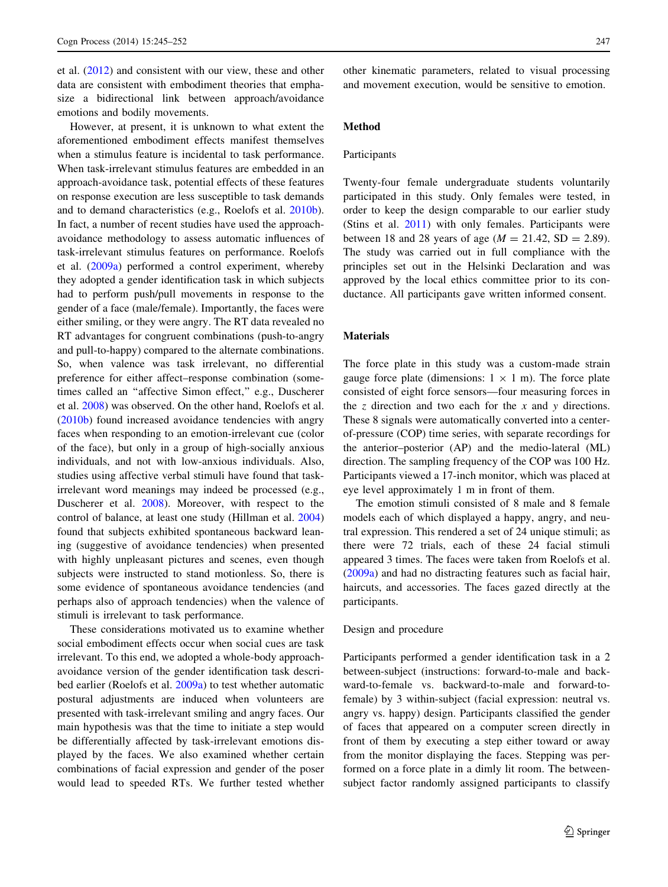et al. ([2012\)](#page-7-0) and consistent with our view, these and other data are consistent with embodiment theories that emphasize a bidirectional link between approach/avoidance emotions and bodily movements.

However, at present, it is unknown to what extent the aforementioned embodiment effects manifest themselves when a stimulus feature is incidental to task performance. When task-irrelevant stimulus features are embedded in an approach-avoidance task, potential effects of these features on response execution are less susceptible to task demands and to demand characteristics (e.g., Roelofs et al. [2010b](#page-7-0)). In fact, a number of recent studies have used the approachavoidance methodology to assess automatic influences of task-irrelevant stimulus features on performance. Roelofs et al. ([2009a](#page-7-0)) performed a control experiment, whereby they adopted a gender identification task in which subjects had to perform push/pull movements in response to the gender of a face (male/female). Importantly, the faces were either smiling, or they were angry. The RT data revealed no RT advantages for congruent combinations (push-to-angry and pull-to-happy) compared to the alternate combinations. So, when valence was task irrelevant, no differential preference for either affect–response combination (sometimes called an "affective Simon effect," e.g., Duscherer et al. [2008](#page-6-0)) was observed. On the other hand, Roelofs et al. [\(2010b](#page-7-0)) found increased avoidance tendencies with angry faces when responding to an emotion-irrelevant cue (color of the face), but only in a group of high-socially anxious individuals, and not with low-anxious individuals. Also, studies using affective verbal stimuli have found that taskirrelevant word meanings may indeed be processed (e.g., Duscherer et al. [2008](#page-6-0)). Moreover, with respect to the control of balance, at least one study (Hillman et al. [2004\)](#page-6-0) found that subjects exhibited spontaneous backward leaning (suggestive of avoidance tendencies) when presented with highly unpleasant pictures and scenes, even though subjects were instructed to stand motionless. So, there is some evidence of spontaneous avoidance tendencies (and perhaps also of approach tendencies) when the valence of stimuli is irrelevant to task performance.

These considerations motivated us to examine whether social embodiment effects occur when social cues are task irrelevant. To this end, we adopted a whole-body approachavoidance version of the gender identification task described earlier (Roelofs et al. [2009a](#page-7-0)) to test whether automatic postural adjustments are induced when volunteers are presented with task-irrelevant smiling and angry faces. Our main hypothesis was that the time to initiate a step would be differentially affected by task-irrelevant emotions displayed by the faces. We also examined whether certain combinations of facial expression and gender of the poser would lead to speeded RTs. We further tested whether other kinematic parameters, related to visual processing and movement execution, would be sensitive to emotion.

# Method

#### Participants

Twenty-four female undergraduate students voluntarily participated in this study. Only females were tested, in order to keep the design comparable to our earlier study (Stins et al. [2011\)](#page-7-0) with only females. Participants were between 18 and 28 years of age ( $M = 21.42$ , SD = 2.89). The study was carried out in full compliance with the principles set out in the Helsinki Declaration and was approved by the local ethics committee prior to its conductance. All participants gave written informed consent.

#### **Materials**

The force plate in this study was a custom-made strain gauge force plate (dimensions:  $1 \times 1$  m). The force plate consisted of eight force sensors—four measuring forces in the z direction and two each for the  $x$  and  $y$  directions. These 8 signals were automatically converted into a centerof-pressure (COP) time series, with separate recordings for the anterior–posterior (AP) and the medio-lateral (ML) direction. The sampling frequency of the COP was 100 Hz. Participants viewed a 17-inch monitor, which was placed at eye level approximately 1 m in front of them.

The emotion stimuli consisted of 8 male and 8 female models each of which displayed a happy, angry, and neutral expression. This rendered a set of 24 unique stimuli; as there were 72 trials, each of these 24 facial stimuli appeared 3 times. The faces were taken from Roelofs et al. [\(2009a\)](#page-7-0) and had no distracting features such as facial hair, haircuts, and accessories. The faces gazed directly at the participants.

## Design and procedure

Participants performed a gender identification task in a 2 between-subject (instructions: forward-to-male and backward-to-female vs. backward-to-male and forward-tofemale) by 3 within-subject (facial expression: neutral vs. angry vs. happy) design. Participants classified the gender of faces that appeared on a computer screen directly in front of them by executing a step either toward or away from the monitor displaying the faces. Stepping was performed on a force plate in a dimly lit room. The betweensubject factor randomly assigned participants to classify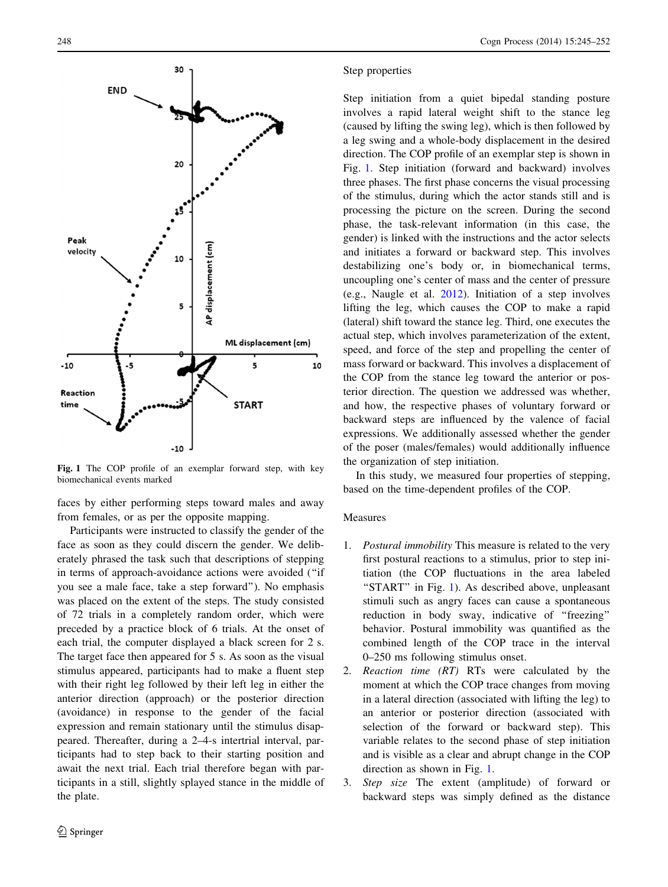<span id="page-3-0"></span>

Fig. 1 The COP profile of an exemplar forward step, with key biomechanical events marked

faces by either performing steps toward males and away from females, or as per the opposite mapping.

Participants were instructed to classify the gender of the face as soon as they could discern the gender. We deliberately phrased the task such that descriptions of stepping in terms of approach-avoidance actions were avoided (''if you see a male face, take a step forward''). No emphasis was placed on the extent of the steps. The study consisted of 72 trials in a completely random order, which were preceded by a practice block of 6 trials. At the onset of each trial, the computer displayed a black screen for 2 s. The target face then appeared for 5 s. As soon as the visual stimulus appeared, participants had to make a fluent step with their right leg followed by their left leg in either the anterior direction (approach) or the posterior direction (avoidance) in response to the gender of the facial expression and remain stationary until the stimulus disappeared. Thereafter, during a 2–4-s intertrial interval, participants had to step back to their starting position and await the next trial. Each trial therefore began with participants in a still, slightly splayed stance in the middle of the plate.

## Step properties

Step initiation from a quiet bipedal standing posture involves a rapid lateral weight shift to the stance leg (caused by lifting the swing leg), which is then followed by a leg swing and a whole-body displacement in the desired direction. The COP profile of an exemplar step is shown in Fig. 1. Step initiation (forward and backward) involves three phases. The first phase concerns the visual processing of the stimulus, during which the actor stands still and is processing the picture on the screen. During the second phase, the task-relevant information (in this case, the gender) is linked with the instructions and the actor selects and initiates a forward or backward step. This involves destabilizing one's body or, in biomechanical terms, uncoupling one's center of mass and the center of pressure (e.g., Naugle et al. [2012](#page-6-0)). Initiation of a step involves lifting the leg, which causes the COP to make a rapid (lateral) shift toward the stance leg. Third, one executes the actual step, which involves parameterization of the extent, speed, and force of the step and propelling the center of mass forward or backward. This involves a displacement of the COP from the stance leg toward the anterior or posterior direction. The question we addressed was whether, and how, the respective phases of voluntary forward or backward steps are influenced by the valence of facial expressions. We additionally assessed whether the gender of the poser (males/females) would additionally influence the organization of step initiation.

In this study, we measured four properties of stepping, based on the time-dependent profiles of the COP.

## Measures

- 1. Postural immobility This measure is related to the very first postural reactions to a stimulus, prior to step initiation (the COP fluctuations in the area labeled "START" in Fig. 1). As described above, unpleasant stimuli such as angry faces can cause a spontaneous reduction in body sway, indicative of ''freezing'' behavior. Postural immobility was quantified as the combined length of the COP trace in the interval 0–250 ms following stimulus onset.
- 2. Reaction time (RT) RTs were calculated by the moment at which the COP trace changes from moving in a lateral direction (associated with lifting the leg) to an anterior or posterior direction (associated with selection of the forward or backward step). This variable relates to the second phase of step initiation and is visible as a clear and abrupt change in the COP direction as shown in Fig. 1.
- 3. Step size The extent (amplitude) of forward or backward steps was simply defined as the distance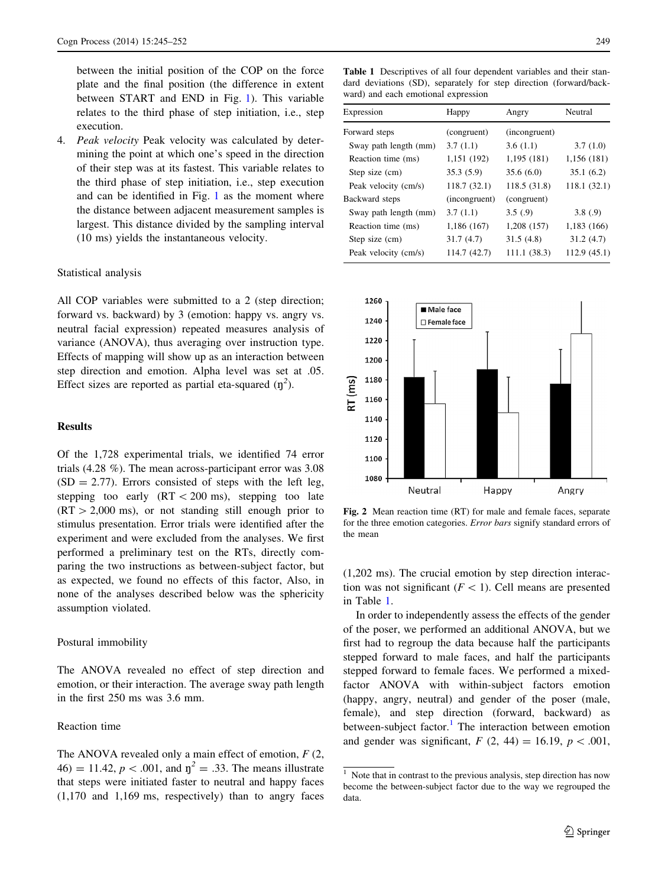<span id="page-4-0"></span>between the initial position of the COP on the force plate and the final position (the difference in extent between START and END in Fig. [1\)](#page-3-0). This variable relates to the third phase of step initiation, i.e., step execution.

4. Peak velocity Peak velocity was calculated by determining the point at which one's speed in the direction of their step was at its fastest. This variable relates to the third phase of step initiation, i.e., step execution and can be identified in Fig. [1](#page-3-0) as the moment where the distance between adjacent measurement samples is largest. This distance divided by the sampling interval (10 ms) yields the instantaneous velocity.

#### Statistical analysis

All COP variables were submitted to a 2 (step direction; forward vs. backward) by 3 (emotion: happy vs. angry vs. neutral facial expression) repeated measures analysis of variance (ANOVA), thus averaging over instruction type. Effects of mapping will show up as an interaction between step direction and emotion. Alpha level was set at .05. Effect sizes are reported as partial eta-squared  $(\eta^2)$ .

# Results

Of the 1,728 experimental trials, we identified 74 error trials (4.28 %). The mean across-participant error was 3.08  $(SD = 2.77)$ . Errors consisted of steps with the left leg, stepping too early  $(RT < 200 \text{ ms})$ , stepping too late  $(RT > 2,000 \text{ ms})$ , or not standing still enough prior to stimulus presentation. Error trials were identified after the experiment and were excluded from the analyses. We first performed a preliminary test on the RTs, directly comparing the two instructions as between-subject factor, but as expected, we found no effects of this factor, Also, in none of the analyses described below was the sphericity assumption violated.

## Postural immobility

The ANOVA revealed no effect of step direction and emotion, or their interaction. The average sway path length in the first 250 ms was 3.6 mm.

# Reaction time

The ANOVA revealed only a main effect of emotion,  $F(2, \mathbb{R})$ 46) = 11.42,  $p < .001$ , and  $\eta^2 = .33$ . The means illustrate that steps were initiated faster to neutral and happy faces (1,170 and 1,169 ms, respectively) than to angry faces

Table 1 Descriptives of all four dependent variables and their standard deviations (SD), separately for step direction (forward/backward) and each emotional expression

| Expression            | Happy         | Angry         | Neutral     |
|-----------------------|---------------|---------------|-------------|
| Forward steps         | (congruent)   | (incongruent) |             |
| Sway path length (mm) | 3.7(1.1)      | 3.6(1.1)      | 3.7(1.0)    |
| Reaction time (ms)    | 1,151 (192)   | 1,195 (181)   | 1,156 (181) |
| Step size (cm)        | 35.3(5.9)     | 35.6(6.0)     | 35.1(6.2)   |
| Peak velocity (cm/s)  | 118.7 (32.1)  | 118.5(31.8)   | 118.1(32.1) |
| Backward steps        | (incongruent) | (congruent)   |             |
| Sway path length (mm) | 3.7(1.1)      | 3.5(0.9)      | 3.8(.9)     |
| Reaction time (ms)    | 1,186 (167)   | 1,208 (157)   | 1,183 (166) |
| Step size (cm)        | 31.7(4.7)     | 31.5(4.8)     | 31.2(4.7)   |
| Peak velocity (cm/s)  | 114.7 (42.7)  | 111.1(38.3)   | 112.9(45.1) |



Fig. 2 Mean reaction time (RT) for male and female faces, separate for the three emotion categories. Error bars signify standard errors of the mean

(1,202 ms). The crucial emotion by step direction interaction was not significant  $(F<1)$ . Cell means are presented in Table 1.

In order to independently assess the effects of the gender of the poser, we performed an additional ANOVA, but we first had to regroup the data because half the participants stepped forward to male faces, and half the participants stepped forward to female faces. We performed a mixedfactor ANOVA with within-subject factors emotion (happy, angry, neutral) and gender of the poser (male, female), and step direction (forward, backward) as between-subject factor.<sup>1</sup> The interaction between emotion and gender was significant,  $F(2, 44) = 16.19, p < .001$ ,

<sup>&</sup>lt;sup>1</sup> Note that in contrast to the previous analysis, step direction has now become the between-subject factor due to the way we regrouped the data.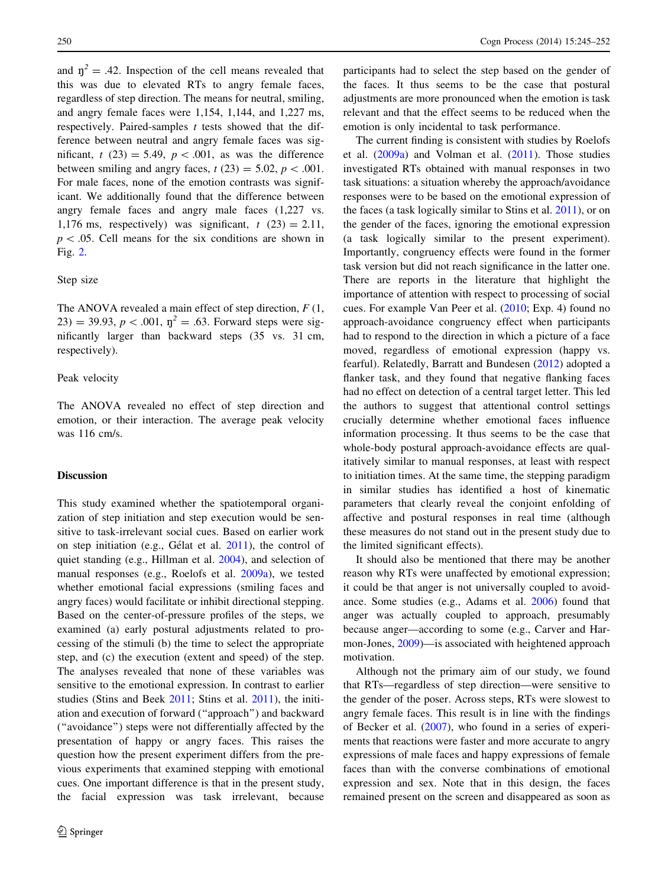and  $n^2 = .42$ . Inspection of the cell means revealed that this was due to elevated RTs to angry female faces, regardless of step direction. The means for neutral, smiling, and angry female faces were 1,154, 1,144, and 1,227 ms, respectively. Paired-samples  $t$  tests showed that the difference between neutral and angry female faces was significant,  $t(23) = 5.49$ ,  $p < .001$ , as was the difference between smiling and angry faces,  $t(23) = 5.02$ ,  $p < .001$ . For male faces, none of the emotion contrasts was significant. We additionally found that the difference between angry female faces and angry male faces (1,227 vs. 1,176 ms, respectively) was significant,  $t(23) = 2.11$ ,  $p\lt 0.05$ . Cell means for the six conditions are shown in Fig. [2](#page-4-0).

# Step size

The ANOVA revealed a main effect of step direction,  $F(1, 1)$ 23) = 39.93,  $p < .001$ ,  $\eta^2 = .63$ . Forward steps were significantly larger than backward steps (35 vs. 31 cm, respectively).

# Peak velocity

The ANOVA revealed no effect of step direction and emotion, or their interaction. The average peak velocity was 116 cm/s.

## **Discussion**

This study examined whether the spatiotemporal organization of step initiation and step execution would be sensitive to task-irrelevant social cues. Based on earlier work on step initiation (e.g., Gélat et al.  $2011$ ), the control of quiet standing (e.g., Hillman et al. [2004\)](#page-6-0), and selection of manual responses (e.g., Roelofs et al. [2009a](#page-7-0)), we tested whether emotional facial expressions (smiling faces and angry faces) would facilitate or inhibit directional stepping. Based on the center-of-pressure profiles of the steps, we examined (a) early postural adjustments related to processing of the stimuli (b) the time to select the appropriate step, and (c) the execution (extent and speed) of the step. The analyses revealed that none of these variables was sensitive to the emotional expression. In contrast to earlier studies (Stins and Beek [2011;](#page-7-0) Stins et al. [2011\)](#page-7-0), the initiation and execution of forward (''approach'') and backward (''avoidance'') steps were not differentially affected by the presentation of happy or angry faces. This raises the question how the present experiment differs from the previous experiments that examined stepping with emotional cues. One important difference is that in the present study, the facial expression was task irrelevant, because participants had to select the step based on the gender of the faces. It thus seems to be the case that postural adjustments are more pronounced when the emotion is task relevant and that the effect seems to be reduced when the emotion is only incidental to task performance.

The current finding is consistent with studies by Roelofs et al. ([2009a\)](#page-7-0) and Volman et al. [\(2011](#page-7-0)). Those studies investigated RTs obtained with manual responses in two task situations: a situation whereby the approach/avoidance responses were to be based on the emotional expression of the faces (a task logically similar to Stins et al. [2011](#page-7-0)), or on the gender of the faces, ignoring the emotional expression (a task logically similar to the present experiment). Importantly, congruency effects were found in the former task version but did not reach significance in the latter one. There are reports in the literature that highlight the importance of attention with respect to processing of social cues. For example Van Peer et al. ([2010;](#page-7-0) Exp. 4) found no approach-avoidance congruency effect when participants had to respond to the direction in which a picture of a face moved, regardless of emotional expression (happy vs. fearful). Relatedly, Barratt and Bundesen [\(2012](#page-6-0)) adopted a flanker task, and they found that negative flanking faces had no effect on detection of a central target letter. This led the authors to suggest that attentional control settings crucially determine whether emotional faces influence information processing. It thus seems to be the case that whole-body postural approach-avoidance effects are qualitatively similar to manual responses, at least with respect to initiation times. At the same time, the stepping paradigm in similar studies has identified a host of kinematic parameters that clearly reveal the conjoint enfolding of affective and postural responses in real time (although these measures do not stand out in the present study due to the limited significant effects).

It should also be mentioned that there may be another reason why RTs were unaffected by emotional expression; it could be that anger is not universally coupled to avoidance. Some studies (e.g., Adams et al. [2006\)](#page-6-0) found that anger was actually coupled to approach, presumably because anger—according to some (e.g., Carver and Harmon-Jones, [2009](#page-6-0))—is associated with heightened approach motivation.

Although not the primary aim of our study, we found that RTs—regardless of step direction—were sensitive to the gender of the poser. Across steps, RTs were slowest to angry female faces. This result is in line with the findings of Becker et al. ([2007\)](#page-6-0), who found in a series of experiments that reactions were faster and more accurate to angry expressions of male faces and happy expressions of female faces than with the converse combinations of emotional expression and sex. Note that in this design, the faces remained present on the screen and disappeared as soon as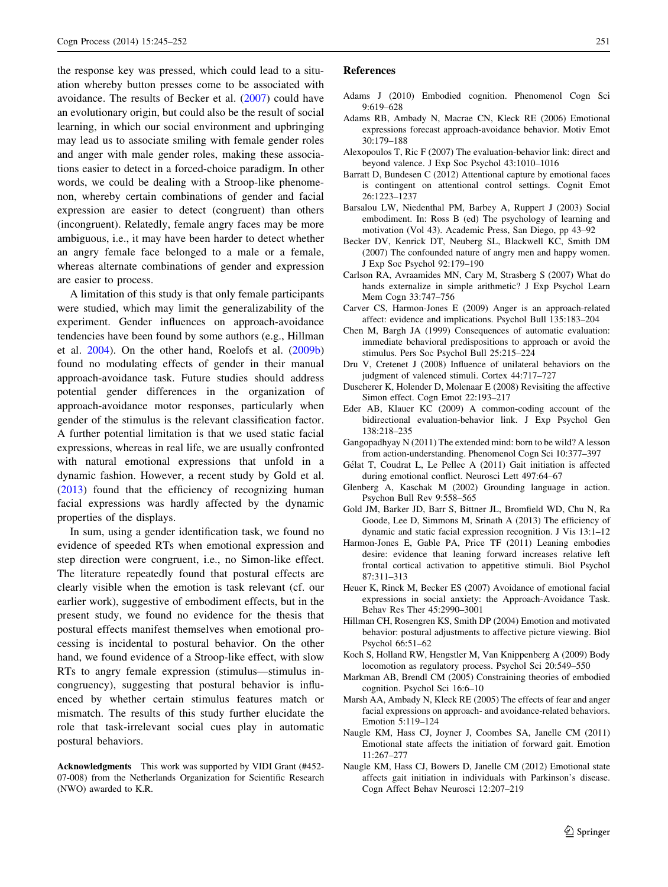<span id="page-6-0"></span>the response key was pressed, which could lead to a situation whereby button presses come to be associated with avoidance. The results of Becker et al. (2007) could have an evolutionary origin, but could also be the result of social learning, in which our social environment and upbringing may lead us to associate smiling with female gender roles and anger with male gender roles, making these associations easier to detect in a forced-choice paradigm. In other words, we could be dealing with a Stroop-like phenomenon, whereby certain combinations of gender and facial expression are easier to detect (congruent) than others (incongruent). Relatedly, female angry faces may be more ambiguous, i.e., it may have been harder to detect whether an angry female face belonged to a male or a female, whereas alternate combinations of gender and expression are easier to process.

A limitation of this study is that only female participants were studied, which may limit the generalizability of the experiment. Gender influences on approach-avoidance tendencies have been found by some authors (e.g., Hillman et al. 2004). On the other hand, Roelofs et al. ([2009b\)](#page-7-0) found no modulating effects of gender in their manual approach-avoidance task. Future studies should address potential gender differences in the organization of approach-avoidance motor responses, particularly when gender of the stimulus is the relevant classification factor. A further potential limitation is that we used static facial expressions, whereas in real life, we are usually confronted with natural emotional expressions that unfold in a dynamic fashion. However, a recent study by Gold et al. (2013) found that the efficiency of recognizing human facial expressions was hardly affected by the dynamic properties of the displays.

In sum, using a gender identification task, we found no evidence of speeded RTs when emotional expression and step direction were congruent, i.e., no Simon-like effect. The literature repeatedly found that postural effects are clearly visible when the emotion is task relevant (cf. our earlier work), suggestive of embodiment effects, but in the present study, we found no evidence for the thesis that postural effects manifest themselves when emotional processing is incidental to postural behavior. On the other hand, we found evidence of a Stroop-like effect, with slow RTs to angry female expression (stimulus—stimulus incongruency), suggesting that postural behavior is influenced by whether certain stimulus features match or mismatch. The results of this study further elucidate the role that task-irrelevant social cues play in automatic postural behaviors.

Acknowledgments This work was supported by VIDI Grant (#452- 07-008) from the Netherlands Organization for Scientific Research (NWO) awarded to K.R.

## References

- Adams J (2010) Embodied cognition. Phenomenol Cogn Sci 9:619–628
- Adams RB, Ambady N, Macrae CN, Kleck RE (2006) Emotional expressions forecast approach-avoidance behavior. Motiv Emot 30:179–188
- Alexopoulos T, Ric F (2007) The evaluation-behavior link: direct and beyond valence. J Exp Soc Psychol 43:1010–1016
- Barratt D, Bundesen C (2012) Attentional capture by emotional faces is contingent on attentional control settings. Cognit Emot 26:1223–1237
- Barsalou LW, Niedenthal PM, Barbey A, Ruppert J (2003) Social embodiment. In: Ross B (ed) The psychology of learning and motivation (Vol 43). Academic Press, San Diego, pp 43–92
- Becker DV, Kenrick DT, Neuberg SL, Blackwell KC, Smith DM (2007) The confounded nature of angry men and happy women. J Exp Soc Psychol 92:179–190
- Carlson RA, Avraamides MN, Cary M, Strasberg S (2007) What do hands externalize in simple arithmetic? J Exp Psychol Learn Mem Cogn 33:747–756
- Carver CS, Harmon-Jones E (2009) Anger is an approach-related affect: evidence and implications. Psychol Bull 135:183–204
- Chen M, Bargh JA (1999) Consequences of automatic evaluation: immediate behavioral predispositions to approach or avoid the stimulus. Pers Soc Psychol Bull 25:215–224
- Dru V, Cretenet J (2008) Influence of unilateral behaviors on the judgment of valenced stimuli. Cortex 44:717–727
- Duscherer K, Holender D, Molenaar E (2008) Revisiting the affective Simon effect. Cogn Emot 22:193–217
- Eder AB, Klauer KC (2009) A common-coding account of the bidirectional evaluation-behavior link. J Exp Psychol Gen 138:218–235
- Gangopadhyay N (2011) The extended mind: born to be wild? A lesson from action-understanding. Phenomenol Cogn Sci 10:377–397
- Gélat T, Coudrat L, Le Pellec A (2011) Gait initiation is affected during emotional conflict. Neurosci Lett 497:64–67
- Glenberg A, Kaschak M (2002) Grounding language in action. Psychon Bull Rev 9:558–565
- Gold JM, Barker JD, Barr S, Bittner JL, Bromfield WD, Chu N, Ra Goode, Lee D, Simmons M, Srinath A (2013) The efficiency of dynamic and static facial expression recognition. J Vis 13:1–12
- Harmon-Jones E, Gable PA, Price TF (2011) Leaning embodies desire: evidence that leaning forward increases relative left frontal cortical activation to appetitive stimuli. Biol Psychol 87:311–313
- Heuer K, Rinck M, Becker ES (2007) Avoidance of emotional facial expressions in social anxiety: the Approach-Avoidance Task. Behav Res Ther 45:2990–3001
- Hillman CH, Rosengren KS, Smith DP (2004) Emotion and motivated behavior: postural adjustments to affective picture viewing. Biol Psychol 66:51–62
- Koch S, Holland RW, Hengstler M, Van Knippenberg A (2009) Body locomotion as regulatory process. Psychol Sci 20:549–550
- Markman AB, Brendl CM (2005) Constraining theories of embodied cognition. Psychol Sci 16:6–10
- Marsh AA, Ambady N, Kleck RE (2005) The effects of fear and anger facial expressions on approach- and avoidance-related behaviors. Emotion 5:119–124
- Naugle KM, Hass CJ, Joyner J, Coombes SA, Janelle CM (2011) Emotional state affects the initiation of forward gait. Emotion 11:267–277
- Naugle KM, Hass CJ, Bowers D, Janelle CM (2012) Emotional state affects gait initiation in individuals with Parkinson's disease. Cogn Affect Behav Neurosci 12:207–219